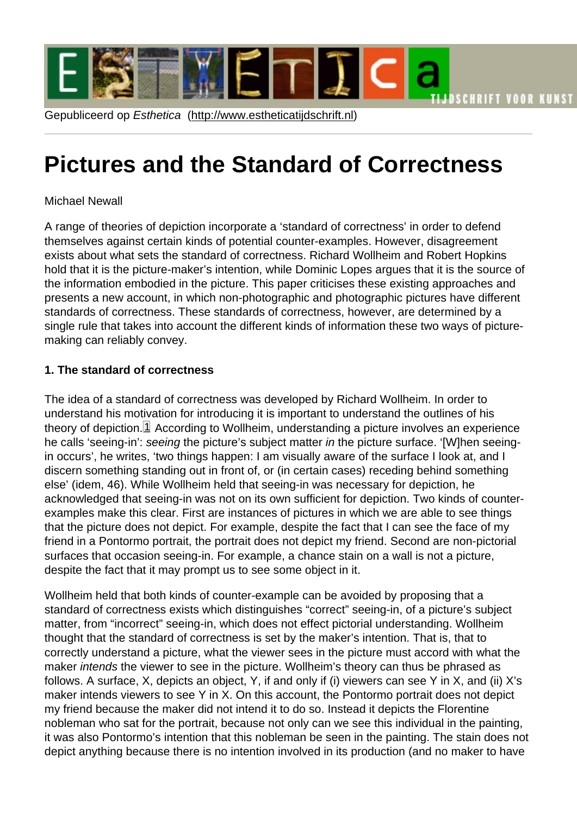# <span id="page-0-0"></span>Pictures and t[he Standard of C](http://www.estheticatijdschrift.nl)orrectness

# Michael Newall

A range of theories of depiction incorporate a 'standard of correctness' in order to defend themselves against certain kinds of potential counter-examples. However, disagreement exists about what sets the standard of correctness. Richard Wollheim and Robert Hopkins hold that it is the picture-maker's intention, while Dominic Lopes argues that it is the source of the information embodied in the picture. This paper criticises these existing approaches and presents a new account, in which non-photographic and photographic pictures have different standards of correctness. These standards of correctness, however, are determined by a single rule that takes into account the different kinds of information these two ways of picturemaking can reliably convey.

## 1. The standard of correctness

The idea of a standard of correctness was developed by Richard Wollheim. In order to understand his motivation for introducing it is important to understand the outlines of his theory of depiction. I According to Wollheim, understanding a picture involves an experience he calls 'seeing-in': seeing the picture's subject matter in the picture surface. '[W]hen seeingin occurs', he writes, 'two things happen: I am visually aware of the surface I look at, and I discern something standing out in front of, or (in certain cases) receding behind something else' (idem, 46). While Wollheim held that seeing-in was necessary for depiction, he acknowledged that seeing-in was not on its own sufficient for depiction. Two kinds of counterexamples make this clear. First are instances of pictures in which we are able to see things that the picture does not depict. For example, despite the fact that I can see the face of my friend in a Pontormo portrait, the portrait does not depict my friend. Second are non-pictorial surfaces that occasion seeing-in. For example, a chance stain on a wall is not a picture, despite the fact that it may prompt us to see some object in it.

Wollheim held that both kinds of counter-example can be avoided by proposing that a standard of correctness exists which distinguishes "correct" seeing-in, of a picture's subject matter, from "incorrect" seeing-in, which does not effect pictorial understanding. Wollheim thought that the standard of correctness is set by the maker's intention. That is, that to correctly understand a picture, what the viewer sees in the picture must accord with what the maker intends the viewer to see in the picture. Wollheim's theory can thus be phrased as follows. A surface, X, depicts an object, Y, if and only if (i) viewers can see Y in X, and (ii) X's maker intends viewers to see Y in X. On this account, the Pontormo portrait does not depict my friend because the maker did not intend it to do so. Instead it depicts the Florentine nobleman who sat for the portrait, because not only can we see this individual in the painting, it was also Pontormo's intention that this nobleman be seen in the painting. The stain does not depict anything because there is no intention involved in its production (and no maker to have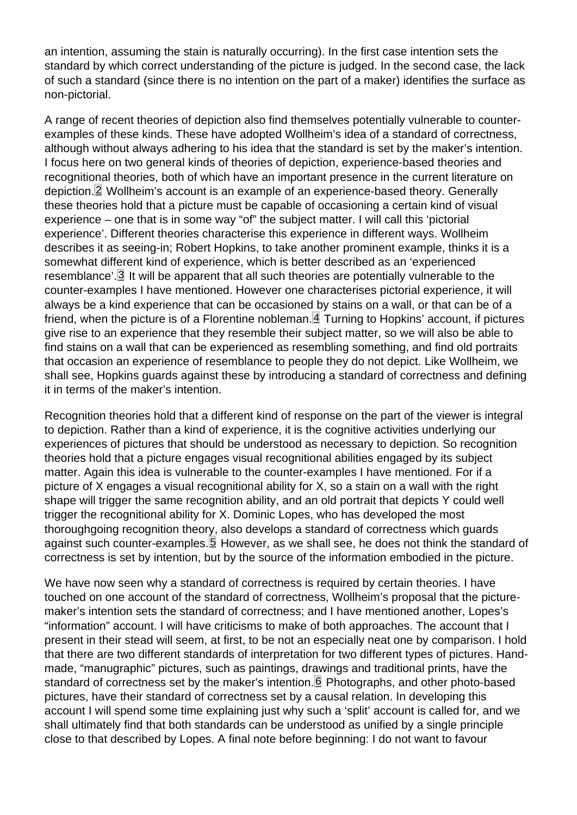<span id="page-1-0"></span>an intention, assuming the stain is naturally occurring). In the first case intention sets the standard by which correct understanding of the picture is judged. In the second case, the lack of such a standard (since there is no intention on the part of a maker) identifies the surface as non-pictorial.

A range of recent theories of depiction also find themselves potentially vulnerable to counterexamples of these kinds. These have adopted Wollheim's idea of a standard of correctness, although without always adhering to his idea that the standard is set by the maker's intention. I focus here on two general kinds of theories of depiction, experience-based theories and recognitional theories, both of which have an important presence in the current literature on depiction.  $2$  Wollheim's account is an example of an experience-based theory. Generally these theories hold that a picture must be capable of occasioning a certain kind of visual experience – one that is in some way "of" the subject matter. I will call this 'pictorial experience'. Different theories characterise this experience in different ways. Wollheim describes it as seeing-in; Robert Hopkins, to take another prominent example, thinks it is a somewhat different kind of experience, which is better described as an 'experienced resemblance'. $\beta$  It will be apparent that all such theories are potentially vulnerable to the counter-examples I have mentioned. However one characterises pictorial experience, it will always be a kind experience that can be occasioned by stains on a wall, or that can be of a friend, when the picture is of a Florentine nobleman. $4$  Turning to Hopkins' account, if pictures give rise to an experience that they resemble their subject matter, so we will also be able to find stains on a wall that can be experienced as resembling something, and find old portraits that occasion an experience of resemblance to people they do not depict. Like Wollheim, we shall see, Hopkins guards against these by introducing a standard of correctness and defining it in terms of the maker's intention.

Recognition theories hold that a different kind of response on the part of the viewer is integral to depiction. Rather than a kind of experience, it is the cognitive activities underlying our experiences of pictures that should be understood as necessary to depiction. So recognition theories hold that a picture engages visual recognitional abilities engaged by its subject matter. Again this idea is vulnerable to the counter-examples I have mentioned. For if a picture of X engages a visual recognitional ability for X, so a stain on a wall with the right shape will trigger the same recognition ability, and an old portrait that depicts Y could well trigger the recognitional ability for X. Dominic Lopes, who has developed the most thoroughgoing recognition theory, also develops a standard of correctness which guards against such counter-examples. $5$  However, as we shall see, he does not think the standard of correctness is set by intention, but by the source of the information embodied in the picture.

We have now seen why a standard of correctness is required by certain theories. I have touched on one account of the standard of correctness, Wollheim's proposal that the picturemaker's intention sets the standard of correctness; and I have mentioned another, Lopes's "information" account. I will have criticisms to make of both approaches. The account that I present in their stead will seem, at first, to be not an especially neat one by comparison. I hold that there are two different standards of interpretation for two different types of pictures. Handmade, "manugraphic" pictures, such as paintings, drawings and traditional prints, have the standard of correctness set by the maker's intention.<sup>[6]</sup> Photographs, and other photo-based pictures, have their standard of correctness set by a causal relation. In developing this account I will spend some time explaining just why such a 'split' account is called for, and we shall ultimately find that both standards can be understood as unified by a single principle close to that described by Lopes. A final note before beginning: I do not want to favour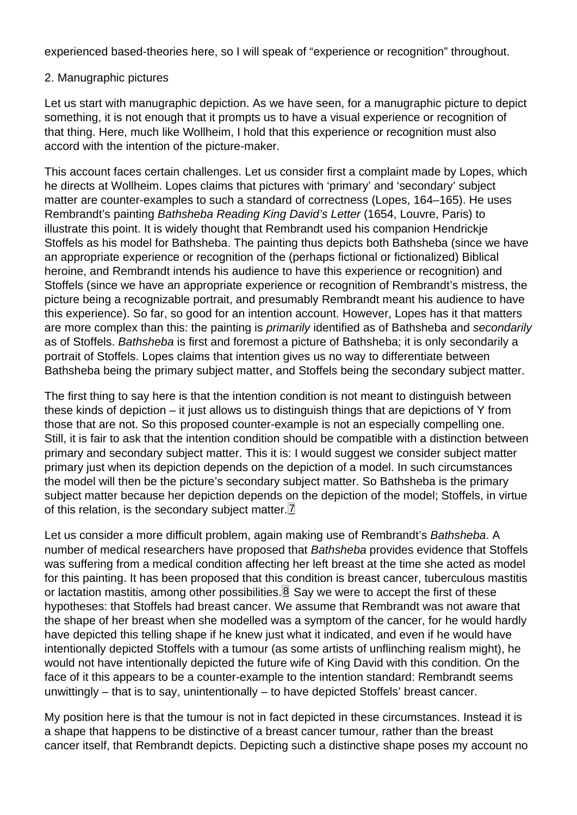<span id="page-2-0"></span>experienced based-theories here, so I will speak of "experience or recognition" throughout.

## 2. Manugraphic pictures

Let us start with manugraphic depiction. As we have seen, for a manugraphic picture to depict something, it is not enough that it prompts us to have a visual experience or recognition of that thing. Here, much like Wollheim, I hold that this experience or recognition must also accord with the intention of the picture-maker.

This account faces certain challenges. Let us consider first a complaint made by Lopes, which he directs at Wollheim. Lopes claims that pictures with 'primary' and 'secondary' subject matter are counter-examples to such a standard of correctness (Lopes, 164–165). He uses Rembrandt's painting Bathsheba Reading King David's Letter (1654, Louvre, Paris) to illustrate this point. It is widely thought that Rembrandt used his companion Hendrickje Stoffels as his model for Bathsheba. The painting thus depicts both Bathsheba (since we have an appropriate experience or recognition of the (perhaps fictional or fictionalized) Biblical heroine, and Rembrandt intends his audience to have this experience or recognition) and Stoffels (since we have an appropriate experience or recognition of Rembrandt's mistress, the picture being a recognizable portrait, and presumably Rembrandt meant his audience to have this experience). So far, so good for an intention account. However, Lopes has it that matters are more complex than this: the painting is primarily identified as of Bathsheba and secondarily as of Stoffels. Bathsheba is first and foremost a picture of Bathsheba; it is only secondarily a portrait of Stoffels. Lopes claims that intention gives us no way to differentiate between Bathsheba being the primary subject matter, and Stoffels being the secondary subject matter.

The first thing to say here is that the intention condition is not meant to distinguish between these kinds of depiction – it just allows us to distinguish things that are depictions of Y from those that are not. So this proposed counter-example is not an especially compelling one. Still, it is fair to ask that the intention condition should be compatible with a distinction between primary and secondary subject matter. This it is: I would suggest we consider subject matter primary just when its depiction depends on the depiction of a model. In such circumstances the model will then be the picture's secondary subject matter. So Bathsheba is the primary subject matter because her depiction depends on the depiction of the model; Stoffels, in virtue of this relation, is the secondary subject matter.<sup>[7]</sup>

Let us consider a more difficult problem, again making use of Rembrandt's Bathsheba. A number of medical researchers have proposed that Bathsheba provides evidence that Stoffels was suffering from a medical condition affecting her left breast at the time she acted as model for this painting. It has been proposed that this condition is breast cancer, tuberculous mastitis or lactation mastitis, among other possibilities.<sup>[8]</sup> Say we were to accept the first of these hypotheses: that Stoffels had breast cancer. We assume that Rembrandt was not aware that the shape of her breast when she modelled was a symptom of the cancer, for he would hardly have depicted this telling shape if he knew just what it indicated, and even if he would have intentionally depicted Stoffels with a tumour (as some artists of unflinching realism might), he would not have intentionally depicted the future wife of King David with this condition. On the face of it this appears to be a counter-example to the intention standard: Rembrandt seems unwittingly – that is to say, unintentionally – to have depicted Stoffels' breast cancer.

My position here is that the tumour is not in fact depicted in these circumstances. Instead it is a shape that happens to be distinctive of a breast cancer tumour, rather than the breast cancer itself, that Rembrandt depicts. Depicting such a distinctive shape poses my account no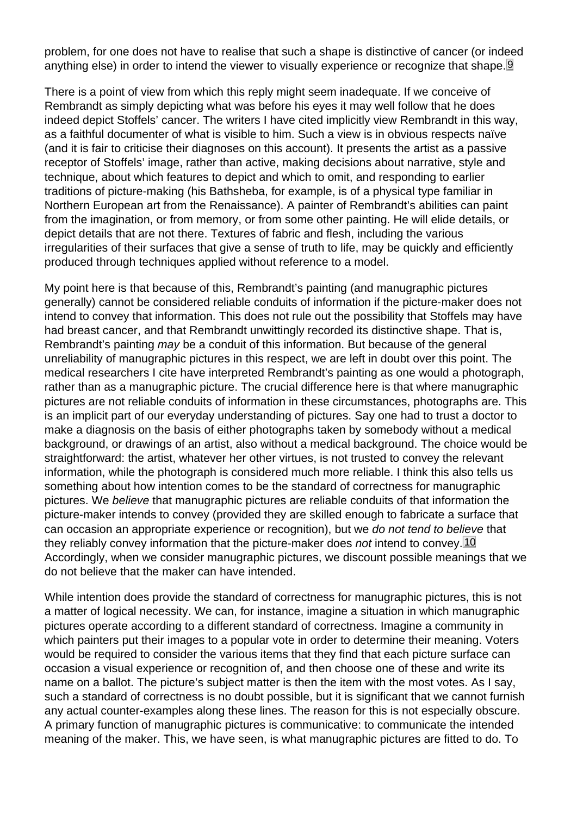<span id="page-3-0"></span>problem, for one does not have to realise that such a shape is distinctive of cancer (or indeed anything else) in order to intend the viewer to visually experience or recognize that shape.<sup>[9</sup>

There is a point of view from which this reply might seem inadequate. If we conceive of Rembrandt as simply depicting what was before his eyes it may well follow that he does indeed depict Stoffels' cancer. The writers I have cited implicitly view Rembrandt in this way, as a faithful documenter of what is visible to him. Such a view is in obvious respects naïve (and it is fair to criticise their diagnoses on this account). It presents the artist as a passive receptor of Stoffels' image, rather than active, making decisions about narrative, style and technique, about which features to depict and which to omit, and responding to earlier traditions of picture-making (his Bathsheba, for example, is of a physical type familiar in Northern European art from the Renaissance). A painter of Rembrandt's abilities can paint from the imagination, or from memory, or from some other painting. He will elide details, or depict details that are not there. Textures of fabric and flesh, including the various irregularities of their surfaces that give a sense of truth to life, may be quickly and efficiently produced through techniques applied without reference to a model.

My point here is that because of this, Rembrandt's painting (and manugraphic pictures generally) cannot be considered reliable conduits of information if the picture-maker does not intend to convey that information. This does not rule out the possibility that Stoffels may have had breast cancer, and that Rembrandt unwittingly recorded its distinctive shape. That is, Rembrandt's painting may be a conduit of this information. But because of the general unreliability of manugraphic pictures in this respect, we are left in doubt over this point. The medical researchers I cite have interpreted Rembrandt's painting as one would a photograph, rather than as a manugraphic picture. The crucial difference here is that where manugraphic pictures are not reliable conduits of information in these circumstances, photographs are. This is an implicit part of our everyday understanding of pictures. Say one had to trust a doctor to make a diagnosis on the basis of either photographs taken by somebody without a medical background, or drawings of an artist, also without a medical background. The choice would be straightforward: the artist, whatever her other virtues, is not trusted to convey the relevant information, while the photograph is considered much more reliable. I think this also tells us something about how intention comes to be the standard of correctness for manugraphic pictures. We believe that manugraphic pictures are reliable conduits of that information the picture-maker intends to convey (provided they are skilled enough to fabricate a surface that can occasion an appropriate experience or recognition), but we do not tend to believe that they reliably convey information that the picture-maker does not intend to convey.<sup>[10]</sup> Accordingly, when we consider manugraphic pictures, we discount possible meanings that we do not believe that the maker can have intended.

While intention does provide the standard of correctness for manugraphic pictures, this is not a matter of logical necessity. We can, for instance, imagine a situation in which manugraphic pictures operate according to a different standard of correctness. Imagine a community in which painters put their images to a popular vote in order to determine their meaning. Voters would be required to consider the various items that they find that each picture surface can occasion a visual experience or recognition of, and then choose one of these and write its name on a ballot. The picture's subject matter is then the item with the most votes. As I say, such a standard of correctness is no doubt possible, but it is significant that we cannot furnish any actual counter-examples along these lines. The reason for this is not especially obscure. A primary function of manugraphic pictures is communicative: to communicate the intended meaning of the maker. This, we have seen, is what manugraphic pictures are fitted to do. To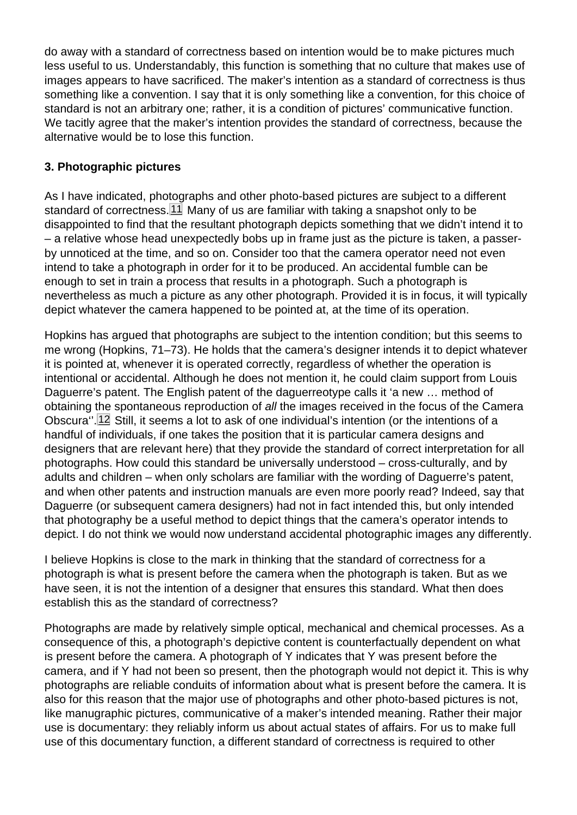do away with a standard of correctness based on intention would be to make pictures much less useful to us. Understandably, this function is something that no culture that makes use of images appears to have sacrificed. The maker's intention as a standard of correctness is thus something like a convention. I say that it is only something like a convention, for this choice of standard is not an arbitrary one; rather, it is a condition of pictures' communicative function. We tacitly agree that the maker's intention provides the standard of correctness, because the alternative would be to lose this function.

## 3. Photographic pictures

As I have indicated, photographs and other photo-based pictures are subject to a different standard of correctness. $11$  Many of us are familiar with taking a snapshot only to be disappointed to find that the resultant photograph depicts something that we didn't intend it to – a relative whose head unexpectedly bobs up in frame just as the picture is taken, a passerby unnoticed at the time, and so on. Consider too that the camera operator need not even intend to take a photograph in order for it to be produced. An accidental fumble can be enough to set in train a process that results in a photograph. Such a photograph is nevertheless as much a picture as any other photograph. Provided it is in focus, it will typically depict whatever the camera happened to be pointed at, at the time of its operation.

Hopkins has argued that photographs are subject to the intention condition; but this seems to me wrong (Hopkins, 71–73). He holds that the camera's designer intends it to depict whatever it is pointed at, whenever it is operated correctly, regardless of whether the operation is intentional or accidental. Although he does not mention it, he could claim support from Louis Daguerre's patent. The English patent of the daguerreotype calls it 'a new … method of obtaining the spontaneous reproduction of all the images received in the focus of the Camera Obscura".<sup>[12]</sup> Still, it seems a lot to ask of one individual's intention (or the intentions of a handful of individuals, if one takes the position that it is particular camera designs and designers that are relevant here) that they provide the standard of correct interpretation for all photographs. How could this standard be universally understood – cross-culturally, and by adults and children – when only scholars are familiar with the wording of Daguerre's patent, and when other patents and instruction manuals are even more poorly read? Indeed, say that Daguerre (or subsequent camera designers) had not in fact intended this, but only intended that photography be a useful method to depict things that the camera's operator intends to depict. I do not think we would now understand accidental photographic images any differently.

I believe Hopkins is close to the mark in thinking that the standard of correctness for a photograph is what is present before the camera when the photograph is taken. But as we have seen, it is not the intention of a designer that ensures this standard. What then does establish this as the standard of correctness?

Photographs are made by relatively simple optical, mechanical and chemical processes. As a consequence of this, a photograph's depictive content is counterfactually dependent on what is present before the camera. A photograph of Y indicates that Y was present before the camera, and if Y had not been so present, then the photograph would not depict it. This is why photographs are reliable conduits of information about what is present before the camera. It is also for this reason that the major use of photographs and other photo-based pictures is not, like manugraphic pictures, communicative of a maker's intended meaning. Rather their major use is documentary: they reliably inform us about actual states of affairs. For us to make full use of this documentary function, a different standard of correctness is required to other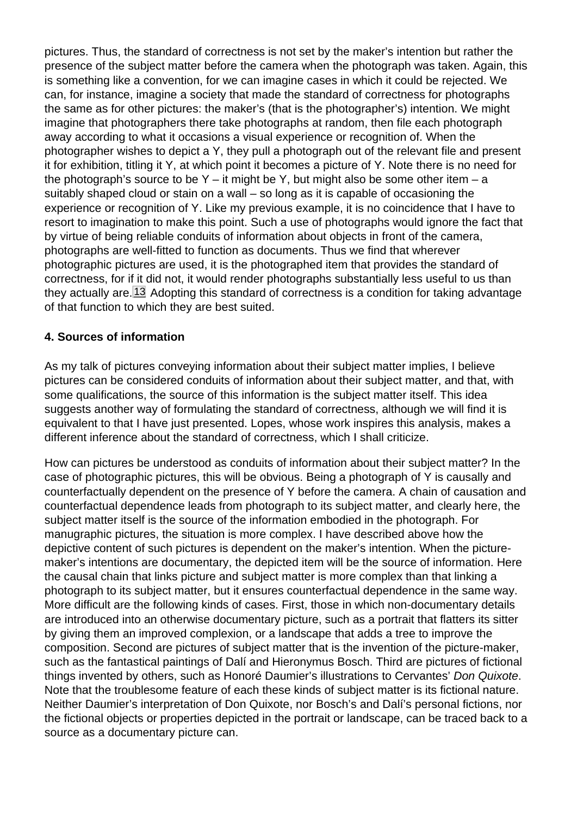<span id="page-5-0"></span>pictures. Thus, the standard of correctness is not set by the maker's intention but rather the presence of the subject matter before the camera when the photograph was taken. Again, this is something like a convention, for we can imagine cases in which it could be rejected. We can, for instance, imagine a society that made the standard of correctness for photographs the same as for other pictures: the maker's (that is the photographer's) intention. We might imagine that photographers there take photographs at random, then file each photograph away according to what it occasions a visual experience or recognition of. When the photographer wishes to depict a Y, they pull a photograph out of the relevant file and present it for exhibition, titling it Y, at which point it becomes a picture of Y. Note there is no need for the photograph's source to be  $Y - it$  might be Y, but might also be some other item  $- a$ suitably shaped cloud or stain on a wall – so long as it is capable of occasioning the experience or recognition of Y. Like my previous example, it is no coincidence that I have to resort to imagination to make this point. Such a use of photographs would ignore the fact that by virtue of being reliable conduits of information about objects in front of the camera, photographs are well-fitted to function as documents. Thus we find that wherever photographic pictures are used, it is the photographed item that provides the standard of correctness, for if it did not, it would render photographs substantially less useful to us than they actually are.  $13$  Adopting this standard of correctness is a condition for taking advantage of that function to which they are best suited.

### 4. Sources of information

As my talk of pictures conveying information about their subject matter implies, I believe pictures can be considered conduits of information about their subject matter, and that, with some qualifications, the source of this information is the subject matter itself. This idea suggests another way of formulating the standard of correctness, although we will find it is equivalent to that I have just presented. Lopes, whose work inspires this analysis, makes a different inference about the standard of correctness, which I shall criticize.

How can pictures be understood as conduits of information about their subject matter? In the case of photographic pictures, this will be obvious. Being a photograph of Y is causally and counterfactually dependent on the presence of Y before the camera. A chain of causation and counterfactual dependence leads from photograph to its subject matter, and clearly here, the subject matter itself is the source of the information embodied in the photograph. For manugraphic pictures, the situation is more complex. I have described above how the depictive content of such pictures is dependent on the maker's intention. When the picturemaker's intentions are documentary, the depicted item will be the source of information. Here the causal chain that links picture and subject matter is more complex than that linking a photograph to its subject matter, but it ensures counterfactual dependence in the same way. More difficult are the following kinds of cases. First, those in which non-documentary details are introduced into an otherwise documentary picture, such as a portrait that flatters its sitter by giving them an improved complexion, or a landscape that adds a tree to improve the composition. Second are pictures of subject matter that is the invention of the picture-maker, such as the fantastical paintings of Dalí and Hieronymus Bosch. Third are pictures of fictional things invented by others, such as Honoré Daumier's illustrations to Cervantes' Don Quixote. Note that the troublesome feature of each these kinds of subject matter is its fictional nature. Neither Daumier's interpretation of Don Quixote, nor Bosch's and Dalí's personal fictions, nor the fictional objects or properties depicted in the portrait or landscape, can be traced back to a source as a documentary picture can.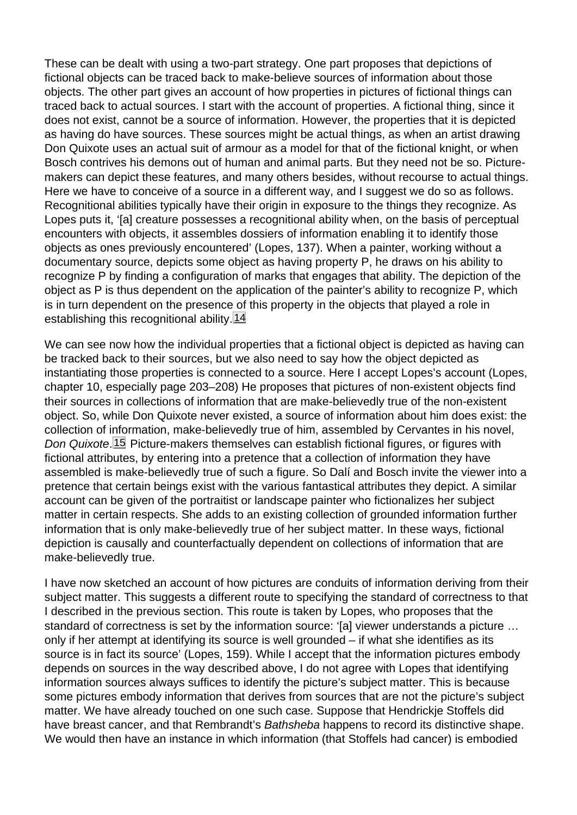<span id="page-6-0"></span>These can be dealt with using a two-part strategy. One part proposes that depictions of fictional objects can be traced back to make-believe sources of information about those objects. The other part gives an account of how properties in pictures of fictional things can traced back to actual sources. I start with the account of properties. A fictional thing, since it does not exist, cannot be a source of information. However, the properties that it is depicted as having do have sources. These sources might be actual things, as when an artist drawing Don Quixote uses an actual suit of armour as a model for that of the fictional knight, or when Bosch contrives his demons out of human and animal parts. But they need not be so. Picturemakers can depict these features, and many others besides, without recourse to actual things. Here we have to conceive of a source in a different way, and I suggest we do so as follows. Recognitional abilities typically have their origin in exposure to the things they recognize. As Lopes puts it, '[a] creature possesses a recognitional ability when, on the basis of perceptual encounters with objects, it assembles dossiers of information enabling it to identify those objects as ones previously encountered' (Lopes, 137). When a painter, working without a documentary source, depicts some object as having property P, he draws on his ability to recognize P by finding a configuration of marks that engages that ability. The depiction of the object as P is thus dependent on the application of the painter's ability to recognize P, which is in turn dependent on the presence of this property in the objects that played a role in establishing this recognitional ability.<sup>[14]</sup>

We can see now how the individual properties that a fictional object is depicted as having can be tracked back to their sources, but we also need to say how the object depicted as instantiating those properties is connected to a source. Here I accept Lopes's account (Lopes, chapter 10, especially page 203–208) He proposes that pictures of non-existent objects find their sources in collections of information that are make-believedly true of the non-existent object. So, while Don Quixote never existed, a source of information about him does exist: the collection of information, make-believedly true of him, assembled by Cervantes in his novel, Don Quixote.<sup>[15]</sup> Picture-makers themselves can establish fictional figures, or figures with fictional attributes, by entering into a pretence that a collection of information they have assembled is make-believedly true of such a figure. So Dalí and Bosch invite the viewer into a pretence that certain beings exist with the various fantastical attributes they depict. A similar account can be given of the portraitist or landscape painter who fictionalizes her subject matter in certain respects. She adds to an existing collection of grounded information further information that is only make-believedly true of her subject matter. In these ways, fictional depiction is causally and counterfactually dependent on collections of information that are make-believedly true.

I have now sketched an account of how pictures are conduits of information deriving from their subject matter. This suggests a different route to specifying the standard of correctness to that I described in the previous section. This route is taken by Lopes, who proposes that the standard of correctness is set by the information source: '[a] viewer understands a picture … only if her attempt at identifying its source is well grounded – if what she identifies as its source is in fact its source' (Lopes, 159). While I accept that the information pictures embody depends on sources in the way described above, I do not agree with Lopes that identifying information sources always suffices to identify the picture's subject matter. This is because some pictures embody information that derives from sources that are not the picture's subject matter. We have already touched on one such case. Suppose that Hendrickje Stoffels did have breast cancer, and that Rembrandt's Bathsheba happens to record its distinctive shape. We would then have an instance in which information (that Stoffels had cancer) is embodied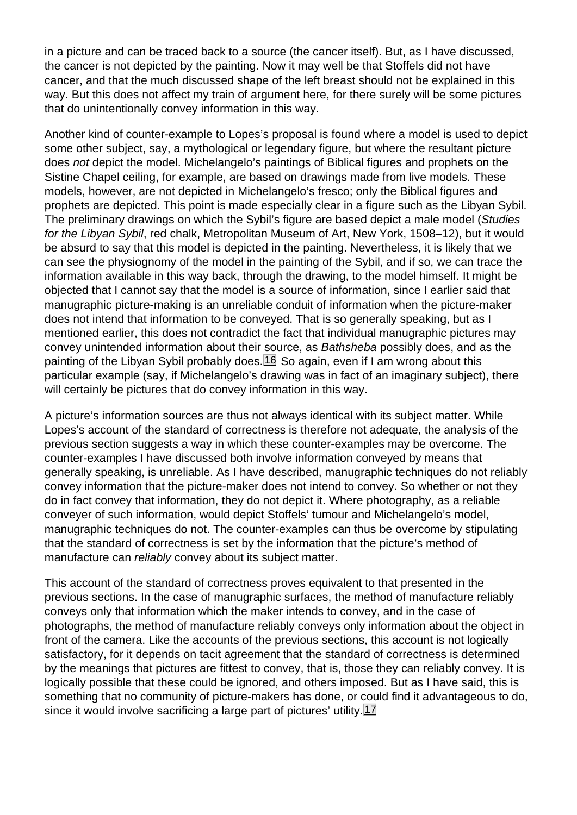in a picture and can be traced back to a source (the cancer itself). But, as I have discussed, the cancer is not depicted by the painting. Now it may well be that Stoffels did not have cancer, and that the much discussed shape of the left breast should not be explained in this way. But this does not affect my train of argument here, for there surely will be some pictures that do unintentionally convey information in this way.

Another kind of counter-example to Lopes's proposal is found where a model is used to depict some other subject, say, a mythological or legendary figure, but where the resultant picture does not depict the model. Michelangelo's paintings of Biblical figures and prophets on the Sistine Chapel ceiling, for example, are based on drawings made from live models. These models, however, are not depicted in Michelangelo's fresco; only the Biblical figures and prophets are depicted. This point is made especially clear in a figure such as the Libyan Sybil. The preliminary drawings on which the Sybil's figure are based depict a male model (Studies for the Libyan Sybil, red chalk, Metropolitan Museum of Art, New York, 1508–12), but it would be absurd to say that this model is depicted in the painting. Nevertheless, it is likely that we can see the physiognomy of the model in the painting of the Sybil, and if so, we can trace the information available in this way back, through the drawing, to the model himself. It might be objected that I cannot say that the model is a source of information, since I earlier said that manugraphic picture-making is an unreliable conduit of information when the picture-maker does not intend that information to be conveyed. That is so generally speaking, but as I mentioned earlier, this does not contradict the fact that individual manugraphic pictures may convey unintended information about their source, as Bathsheba possibly does, and as the painting of the Libyan Sybil probably does. **16** So again, even if I am wrong about this particular example (say, if Michelangelo's drawing was in fact of an imaginary subject), there will certainly be pictures that do convey information in this way.

A picture's information sources are thus not always identical with its subject matter. While Lopes's account of the standard of correctness is therefore not adequate, the analysis of the previous section suggests a way in which these counter-examples may be overcome. The counter-examples I have discussed both involve information conveyed by means that generally speaking, is unreliable. As I have described, manugraphic techniques do not reliably convey information that the picture-maker does not intend to convey. So whether or not they do in fact convey that information, they do not depict it. Where photography, as a reliable conveyer of such information, would depict Stoffels' tumour and Michelangelo's model, manugraphic techniques do not. The counter-examples can thus be overcome by stipulating that the standard of correctness is set by the information that the picture's method of manufacture can reliably convey about its subject matter.

This account of the standard of correctness proves equivalent to that presented in the previous sections. In the case of manugraphic surfaces, the method of manufacture reliably conveys only that information which the maker intends to convey, and in the case of photographs, the method of manufacture reliably conveys only information about the object in front of the camera. Like the accounts of the previous sections, this account is not logically satisfactory, for it depends on tacit agreement that the standard of correctness is determined by the meanings that pictures are fittest to convey, that is, those they can reliably convey. It is logically possible that these could be ignored, and others imposed. But as I have said, this is something that no community of picture-makers has done, or could find it advantageous to do, since it would involve sacrificing a large part of pictures' utility. 17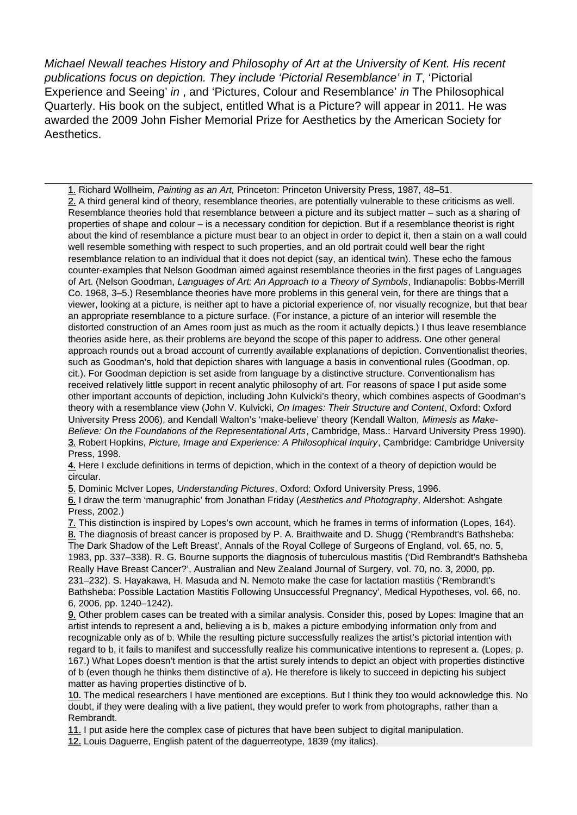Michael Newall teaches History and Philosophy of Art at the University of Kent. His recent publications focus on depiction. They include 'Pictorial Resemblance' in T, 'Pictorial Experience and Seeing' in , and 'Pictures, Colour and Resemblance' in The Philosophical Quarterly. His book on the subject, entitled What is a Picture? will appear in 2011. He was awarded the 2009 John Fisher Memorial Prize for Aesthetics by the American Society for Aesthetics.

1. Richard Wollheim, Painting as an Art, Princeton: Princeton University Press, 1987, 48–51. 2. A third general kind of theory, resemblance theories, are potentially vulnerable to these criticisms as well. Resemblance theories hold that resemblance between a picture and its subject matter – such as a sharing of properties of shape and colour – is a necessary condition for depiction. But if a resemblance theorist is right [ab](#page-0-0)out the kind of resemblance a picture must bear to an object in order to depict it, then a stain on a wall could [we](#page-1-0)ll resemble something with respect to such properties, and an old portrait could well bear the right resemblance relation to an individual that it does not depict (say, an identical twin). These echo the famous counter-examples that Nelson Goodman aimed against resemblance theories in the first pages of Languages of Art. (Nelson Goodman, Languages of Art: An Approach to a Theory of Symbols, Indianapolis: Bobbs-Merrill Co. 1968, 3–5.) Resemblance theories have more problems in this general vein, for there are things that a viewer, looking at a picture, is neither apt to have a pictorial experience of, nor visually recognize, but that bear an appropriate resemblance to a picture surface. (For instance, a picture of an interior will resemble the distorted construction of an Ames room just as much as the room it actually depicts.) I thus leave resemblance theories aside here, as their problems are beyond the scope of this paper to address. One other general approach rounds out a broad account of currently available explanations of depiction. Conventionalist theories, such as Goodman's, hold that depiction shares with language a basis in conventional rules (Goodman, op. cit.). For Goodman depiction is set aside from language by a distinctive structure. Conventionalism has received relatively little support in recent analytic philosophy of art. For reasons of space I put aside some other important accounts of depiction, including John Kulvicki's theory, which combines aspects of Goodman's theory with a resemblance view (John V. Kulvicki, On Images: Their Structure and Content, Oxford: Oxford University Press 2006), and Kendall Walton's 'make-believe' theory (Kendall Walton, Mimesis as Make-Believe: On the Foundations of the Representational Arts, Cambridge, Mass.: Harvard University Press 1990). 3. Robert Hopkins, Picture, Image and Experience: A Philosophical Inquiry, Cambridge: Cambridge University Press, 1998.

4. Here I exclude definitions in terms of depiction, which in the context of a theory of depiction would be 4. circular.

[5.](#page-1-0) Dominic McIver Lopes, Understanding Pictures, Oxford: Oxford University Press, 1996.

6. I draw the term 'manugraphic' from Jonathan Friday (Aesthetics and Photography, Aldershot: Ashgate [Pr](#page-1-0)ess, 2002.)

7. This distinction is inspired by Lopes's own account, which he frames in terms of information (Lopes, 164). [8.](#page-1-0) The diagnosis of breast cancer is proposed by P. A. Braithwaite and D. Shugg ('Rembrandt's Bathsheba: [Th](#page-1-0)e Dark Shadow of the Left Breast', Annals of the Royal College of Surgeons of England, vol. 65, no. 5, 1983, pp. 337–338). R. G. Bourne supports the diagnosis of tuberculous mastitis ('Did Rembrandt's Bathsheba [Re](#page-2-0)ally Have Breast Cancer?', Australian and New Zealand Journal of Surgery, vol. 70, no. 3, 2000, pp. [23](#page-2-0)1–232). S. Hayakawa, H. Masuda and N. Nemoto make the case for lactation mastitis ('Rembrandt's Bathsheba: Possible Lactation Mastitis Following Unsuccessful Pregnancy', Medical Hypotheses, vol. 66, no. 6, 2006, pp. 1240–1242).

9. Other problem cases can be treated with a similar analysis. Consider this, posed by Lopes: Imagine that an artist intends to represent a and, believing a is b, makes a picture embodying information only from and recognizable only as of b. While the resulting picture successfully realizes the artist's pictorial intention with regard to b, it fails to manifest and successfully realize his communicative intentions to represent a. (Lopes, p. [16](#page-3-0)7.) What Lopes doesn't mention is that the artist surely intends to depict an object with properties distinctive of b (even though he thinks them distinctive of a). He therefore is likely to succeed in depicting his subject matter as having properties distinctive of b.

10. The medical researchers I have mentioned are exceptions. But I think they too would acknowledge this. No doubt, if they were dealing with a live patient, they would prefer to work from photographs, rather than a Rembrandt.

11. I put aside here the complex case of pictures that have been subject to digital manipulation.

[12.](#page-3-0) Louis Daguerre, English patent of the daguerreotype, 1839 (my italics).